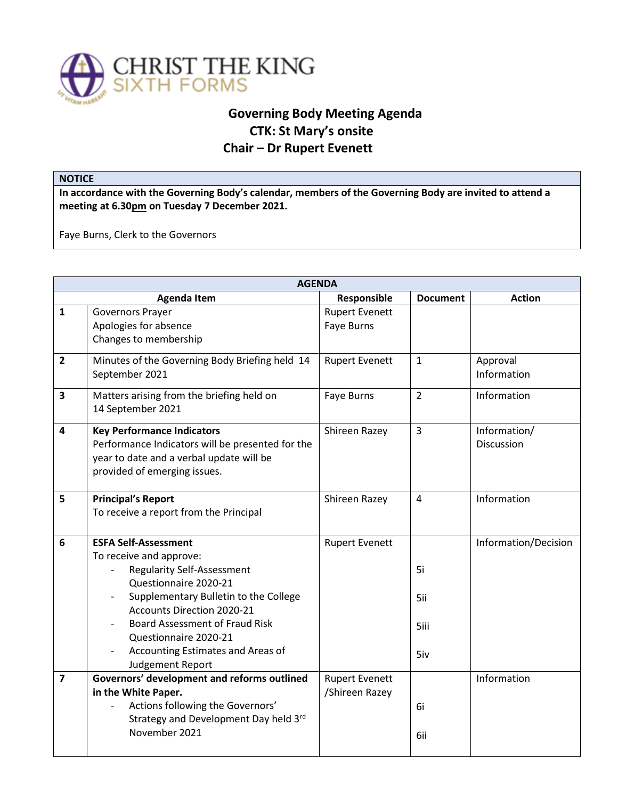

## **Governing Body Meeting Agenda CTK: St Mary's onsite Chair – Dr Rupert Evenett**

## **NOTICE**

**In accordance with the Governing Body's calendar, members of the Governing Body are invited to attend a meeting at 6.30pm on Tuesday 7 December 2021.** 

Faye Burns, Clerk to the Governors

| <b>AGENDA</b>           |                                                                                                                                                                                                                                                                                                                                                           |                                         |                          |                                   |  |  |
|-------------------------|-----------------------------------------------------------------------------------------------------------------------------------------------------------------------------------------------------------------------------------------------------------------------------------------------------------------------------------------------------------|-----------------------------------------|--------------------------|-----------------------------------|--|--|
|                         | <b>Agenda Item</b>                                                                                                                                                                                                                                                                                                                                        | Responsible                             | <b>Document</b>          | <b>Action</b>                     |  |  |
| $\mathbf{1}$            | <b>Governors Prayer</b><br>Apologies for absence<br>Changes to membership                                                                                                                                                                                                                                                                                 | <b>Rupert Evenett</b><br>Faye Burns     |                          |                                   |  |  |
| $\overline{\mathbf{2}}$ | Minutes of the Governing Body Briefing held 14<br>September 2021                                                                                                                                                                                                                                                                                          | <b>Rupert Evenett</b>                   | $\mathbf{1}$             | Approval<br>Information           |  |  |
| 3                       | Matters arising from the briefing held on<br>14 September 2021                                                                                                                                                                                                                                                                                            | Faye Burns                              | $\overline{2}$           | Information                       |  |  |
| 4                       | <b>Key Performance Indicators</b><br>Performance Indicators will be presented for the<br>year to date and a verbal update will be<br>provided of emerging issues.                                                                                                                                                                                         | Shireen Razey                           | $\overline{3}$           | Information/<br><b>Discussion</b> |  |  |
| 5                       | <b>Principal's Report</b><br>To receive a report from the Principal                                                                                                                                                                                                                                                                                       | Shireen Razey                           | $\overline{4}$           | Information                       |  |  |
| 6                       | <b>ESFA Self-Assessment</b><br>To receive and approve:<br><b>Regularity Self-Assessment</b><br>Questionnaire 2020-21<br>Supplementary Bulletin to the College<br><b>Accounts Direction 2020-21</b><br><b>Board Assessment of Fraud Risk</b><br>Questionnaire 2020-21<br>Accounting Estimates and Areas of<br>$\overline{\phantom{a}}$<br>Judgement Report | <b>Rupert Evenett</b>                   | 5i<br>5ii<br>5iii<br>5iv | Information/Decision              |  |  |
| $\overline{7}$          | Governors' development and reforms outlined<br>in the White Paper.<br>Actions following the Governors'<br>Strategy and Development Day held 3rd<br>November 2021                                                                                                                                                                                          | <b>Rupert Evenett</b><br>/Shireen Razey | 6i<br>6ii                | Information                       |  |  |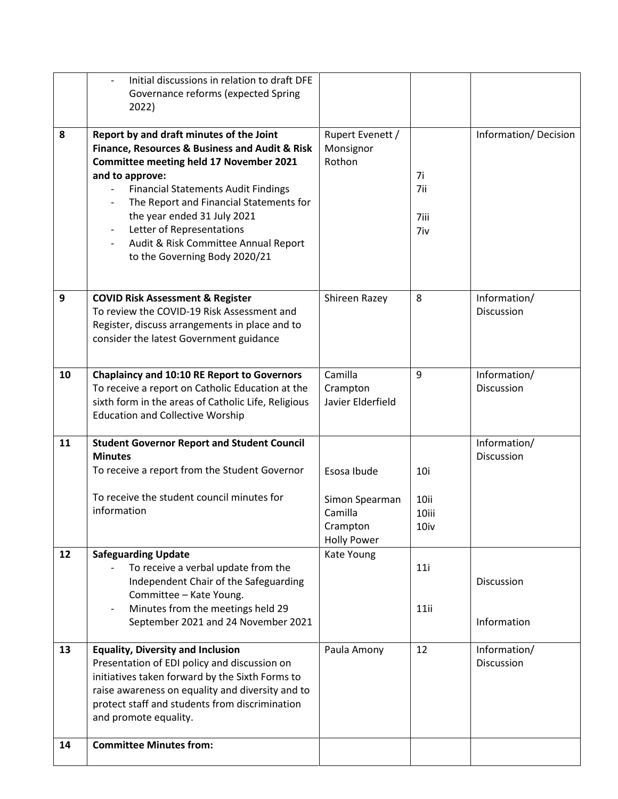|    | Initial discussions in relation to draft DFE<br>Governance reforms (expected Spring<br>2022)                                                                                                                                                                                                                                                                                                  |                                                                            |                              |                                   |
|----|-----------------------------------------------------------------------------------------------------------------------------------------------------------------------------------------------------------------------------------------------------------------------------------------------------------------------------------------------------------------------------------------------|----------------------------------------------------------------------------|------------------------------|-----------------------------------|
| 8  | Report by and draft minutes of the Joint<br>Finance, Resources & Business and Audit & Risk<br><b>Committee meeting held 17 November 2021</b><br>and to approve:<br><b>Financial Statements Audit Findings</b><br>The Report and Financial Statements for<br>the year ended 31 July 2021<br>Letter of Representations<br>Audit & Risk Committee Annual Report<br>to the Governing Body 2020/21 | Rupert Evenett /<br>Monsignor<br>Rothon                                    | 7i<br>7ii<br>7iii<br>7iv     | Information/Decision              |
| 9  | <b>COVID Risk Assessment &amp; Register</b><br>To review the COVID-19 Risk Assessment and<br>Register, discuss arrangements in place and to<br>consider the latest Government guidance                                                                                                                                                                                                        | Shireen Razey                                                              | 8                            | Information/<br><b>Discussion</b> |
| 10 | <b>Chaplaincy and 10:10 RE Report to Governors</b><br>To receive a report on Catholic Education at the<br>sixth form in the areas of Catholic Life, Religious<br><b>Education and Collective Worship</b>                                                                                                                                                                                      | Camilla<br>Crampton<br>Javier Elderfield                                   | 9                            | Information/<br>Discussion        |
| 11 | <b>Student Governor Report and Student Council</b><br><b>Minutes</b><br>To receive a report from the Student Governor<br>To receive the student council minutes for<br>information                                                                                                                                                                                                            | Esosa Ibude<br>Simon Spearman<br>Camilla<br>Crampton<br><b>Holly Power</b> | 10i<br>10ii<br>10iii<br>10iv | Information/<br>Discussion        |
| 12 | <b>Safeguarding Update</b><br>To receive a verbal update from the<br>Independent Chair of the Safeguarding<br>Committee - Kate Young.<br>Minutes from the meetings held 29<br>September 2021 and 24 November 2021                                                                                                                                                                             | Kate Young                                                                 | 11i<br>$11$ ii               | Discussion<br>Information         |
| 13 | <b>Equality, Diversity and Inclusion</b><br>Presentation of EDI policy and discussion on<br>initiatives taken forward by the Sixth Forms to<br>raise awareness on equality and diversity and to<br>protect staff and students from discrimination<br>and promote equality.                                                                                                                    | Paula Amony                                                                | 12                           | Information/<br>Discussion        |
| 14 | <b>Committee Minutes from:</b>                                                                                                                                                                                                                                                                                                                                                                |                                                                            |                              |                                   |